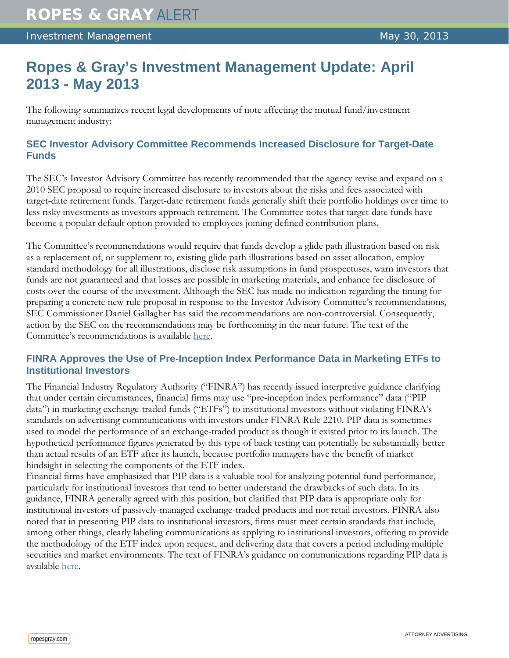# **Ropes & Gray's Investment Management Update: April 2013 - May 2013**

The following summarizes recent legal developments of note affecting the mutual fund/investment management industry:

# **SEC Investor Advisory Committee Recommends Increased Disclosure for Target-Date Funds**

The SEC's Investor Advisory Committee has recently recommended that the agency revise and expand on a 2010 SEC proposal to require increased disclosure to investors about the risks and fees associated with target-date retirement funds. Target-date retirement funds generally shift their portfolio holdings over time to less risky investments as investors approach retirement. The Committee notes that target-date funds have become a popular default option provided to employees joining defined contribution plans.

The Committee's recommendations would require that funds develop a glide path illustration based on risk as a replacement of, or supplement to, existing glide path illustrations based on asset allocation, employ standard methodology for all illustrations, disclose risk assumptions in fund prospectuses, warn investors that funds are not guaranteed and that losses are possible in marketing materials, and enhance fee disclosure of costs over the course of the investment. Although the SEC has made no indication regarding the timing for preparing a concrete new rule proposal in response to the Investor Advisory Committee's recommendations, SEC Commissioner Daniel Gallagher has said the recommendations are non-controversial. Consequently, action by the SEC on the recommendations may be forthcoming in the near future. The text of the Committee's recommendations is available [here.](http://www.sec.gov/spotlight/investor-advisory-committee-2012/iac-recommendation-target-date-fund.pdf)

# **FINRA Approves the Use of Pre-Inception Index Performance Data in Marketing ETFs to Institutional Investors**

The Financial Industry Regulatory Authority ("FINRA") has recently issued interpretive guidance clarifying that under certain circumstances, financial firms may use "pre-inception index performance" data ("PIP data") in marketing exchange-traded funds ("ETFs") to institutional investors without violating FINRA's standards on advertising communications with investors under FINRA Rule 2210. PIP data is sometimes used to model the performance of an exchange-traded product as though it existed prior to its launch. The hypothetical performance figures generated by this type of back testing can potentially be substantially better than actual results of an ETF after its launch, because portfolio managers have the benefit of market hindsight in selecting the components of the ETF index.

Financial firms have emphasized that PIP data is a valuable tool for analyzing potential fund performance, particularly for institutional investors that tend to better understand the drawbacks of such data. In its guidance, FINRA generally agreed with this position, but clarified that PIP data is appropriate only for institutional investors of passively-managed exchange-traded products and not retail investors. FINRA also noted that in presenting PIP data to institutional investors, firms must meet certain standards that include, among other things, clearly labeling communications as applying to institutional investors, offering to provide the methodology of the ETF index upon request, and delivering data that covers a period including multiple securities and market environments. The text of FINRA's guidance on communications regarding PIP data is available [here.](http://www.finra.org/Industry/Regulation/Guidance/InterpretiveLetters/P246651)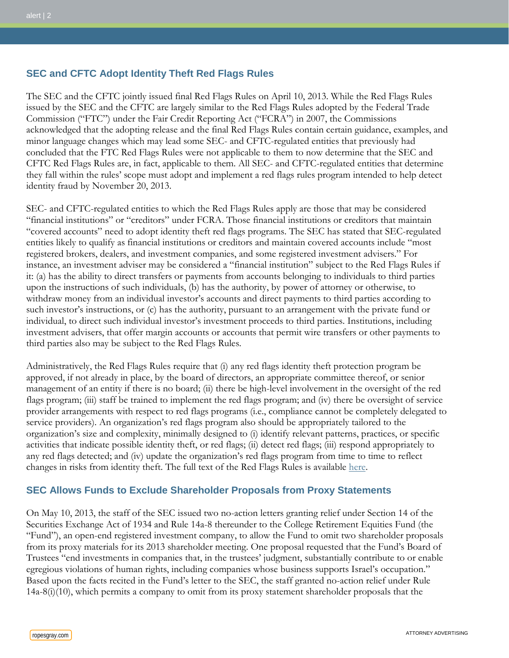## **SEC and CFTC Adopt Identity Theft Red Flags Rules**

The SEC and the CFTC jointly issued final Red Flags Rules on April 10, 2013. While the Red Flags Rules issued by the SEC and the CFTC are largely similar to the Red Flags Rules adopted by the Federal Trade Commission ("FTC") under the Fair Credit Reporting Act ("FCRA") in 2007, the Commissions acknowledged that the adopting release and the final Red Flags Rules contain certain guidance, examples, and minor language changes which may lead some SEC- and CFTC-regulated entities that previously had concluded that the FTC Red Flags Rules were not applicable to them to now determine that the SEC and CFTC Red Flags Rules are, in fact, applicable to them. All SEC- and CFTC-regulated entities that determine they fall within the rules' scope must adopt and implement a red flags rules program intended to help detect identity fraud by November 20, 2013.

SEC- and CFTC-regulated entities to which the Red Flags Rules apply are those that may be considered "financial institutions" or "creditors" under FCRA. Those financial institutions or creditors that maintain "covered accounts" need to adopt identity theft red flags programs. The SEC has stated that SEC-regulated entities likely to qualify as financial institutions or creditors and maintain covered accounts include "most registered brokers, dealers, and investment companies, and some registered investment advisers." For instance, an investment adviser may be considered a "financial institution" subject to the Red Flags Rules if it: (a) has the ability to direct transfers or payments from accounts belonging to individuals to third parties upon the instructions of such individuals, (b) has the authority, by power of attorney or otherwise, to withdraw money from an individual investor's accounts and direct payments to third parties according to such investor's instructions, or (c) has the authority, pursuant to an arrangement with the private fund or individual, to direct such individual investor's investment proceeds to third parties. Institutions, including investment advisers, that offer margin accounts or accounts that permit wire transfers or other payments to third parties also may be subject to the Red Flags Rules.

Administratively, the Red Flags Rules require that (i) any red flags identity theft protection program be approved, if not already in place, by the board of directors, an appropriate committee thereof, or senior management of an entity if there is no board; (ii) there be high-level involvement in the oversight of the red flags program; (iii) staff be trained to implement the red flags program; and (iv) there be oversight of service provider arrangements with respect to red flags programs (i.e., compliance cannot be completely delegated to service providers). An organization's red flags program also should be appropriately tailored to the organization's size and complexity, minimally designed to (i) identify relevant patterns, practices, or specific activities that indicate possible identity theft, or red flags; (ii) detect red flags; (iii) respond appropriately to any red flags detected; and (iv) update the organization's red flags program from time to time to reflect changes in risks from identity theft. The full text of the Red Flags Rules is available [here.](http://www.sec.gov/rules/final/2013/34-69359.pdf)

## **SEC Allows Funds to Exclude Shareholder Proposals from Proxy Statements**

On May 10, 2013, the staff of the SEC issued two no-action letters granting relief under Section 14 of the Securities Exchange Act of 1934 and Rule 14a-8 thereunder to the College Retirement Equities Fund (the "Fund"), an open-end registered investment company, to allow the Fund to omit two shareholder proposals from its proxy materials for its 2013 shareholder meeting. One proposal requested that the Fund's Board of Trustees "end investments in companies that, in the trustees' judgment, substantially contribute to or enable egregious violations of human rights, including companies whose business supports Israel's occupation." Based upon the facts recited in the Fund's letter to the SEC, the staff granted no-action relief under Rule 14a-8(i)(10), which permits a company to omit from its proxy statement shareholder proposals that the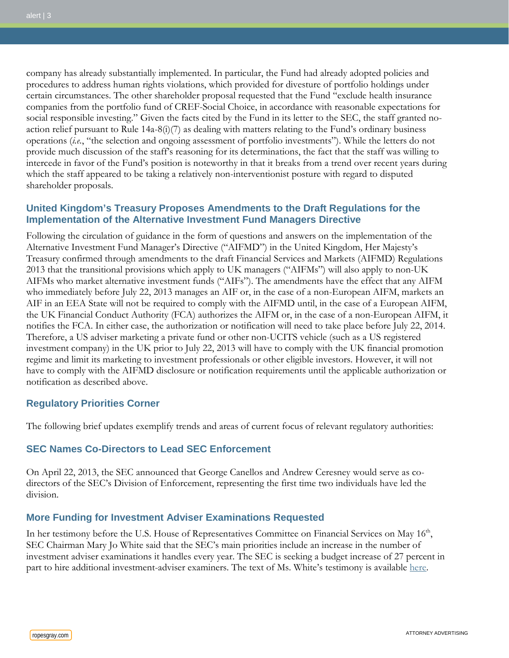company has already substantially implemented. In particular, the Fund had already adopted policies and procedures to address human rights violations, which provided for divesture of portfolio holdings under certain circumstances. The other shareholder proposal requested that the Fund "exclude health insurance companies from the portfolio fund of CREF-Social Choice, in accordance with reasonable expectations for social responsible investing." Given the facts cited by the Fund in its letter to the SEC, the staff granted noaction relief pursuant to Rule  $14a-8(i)(7)$  as dealing with matters relating to the Fund's ordinary business operations (*i.e.*, "the selection and ongoing assessment of portfolio investments"). While the letters do not provide much discussion of the staff's reasoning for its determinations, the fact that the staff was willing to intercede in favor of the Fund's position is noteworthy in that it breaks from a trend over recent years during which the staff appeared to be taking a relatively non-interventionist posture with regard to disputed shareholder proposals.

## **United Kingdom's Treasury Proposes Amendments to the Draft Regulations for the Implementation of the Alternative Investment Fund Managers Directive**

Following the circulation of guidance in the form of questions and answers on the implementation of the Alternative Investment Fund Manager's Directive ("AIFMD") in the United Kingdom, Her Majesty's Treasury confirmed through amendments to the draft Financial Services and Markets (AIFMD) Regulations 2013 that the transitional provisions which apply to UK managers ("AIFMs") will also apply to non-UK AIFMs who market alternative investment funds ("AIFs"). The amendments have the effect that any AIFM who immediately before July 22, 2013 manages an AIF or, in the case of a non-European AIFM, markets an AIF in an EEA State will not be required to comply with the AIFMD until, in the case of a European AIFM, the UK Financial Conduct Authority (FCA) authorizes the AIFM or, in the case of a non-European AIFM, it notifies the FCA. In either case, the authorization or notification will need to take place before July 22, 2014. Therefore, a US adviser marketing a private fund or other non-UCITS vehicle (such as a US registered investment company) in the UK prior to July 22, 2013 will have to comply with the UK financial promotion regime and limit its marketing to investment professionals or other eligible investors. However, it will not have to comply with the AIFMD disclosure or notification requirements until the applicable authorization or notification as described above.

#### **Regulatory Priorities Corner**

The following brief updates exemplify trends and areas of current focus of relevant regulatory authorities:

## **SEC Names Co-Directors to Lead SEC Enforcement**

On April 22, 2013, the SEC announced that George Canellos and Andrew Ceresney would serve as codirectors of the SEC's Division of Enforcement, representing the first time two individuals have led the division.

## **More Funding for Investment Adviser Examinations Requested**

In her testimony before the U.S. House of Representatives Committee on Financial Services on May 16<sup>th</sup>, SEC Chairman Mary Jo White said that the SEC's main priorities include an increase in the number of investment adviser examinations it handles every year. The SEC is seeking a budget increase of 27 percent in part to hire additional investment-adviser examiners. The text of Ms. White's testimony is available [here.](http://www.sec.gov/news/testimony/2013/ts051613mjw.htm)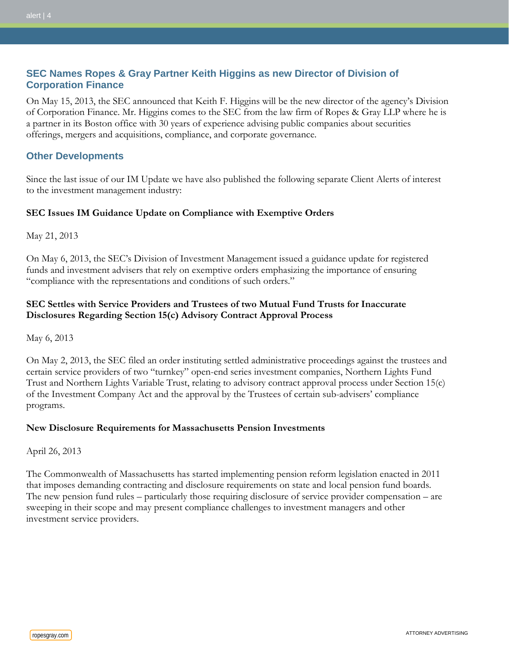# **SEC Names Ropes & Gray Partner Keith Higgins as new Director of Division of Corporation Finance**

On May 15, 2013, the SEC announced that Keith F. Higgins will be the new director of the agency's Division of Corporation Finance. Mr. Higgins comes to the SEC from the law firm of Ropes & Gray LLP where he is a partner in its Boston office with 30 years of experience advising public companies about securities offerings, mergers and acquisitions, compliance, and corporate governance.

## **Other Developments**

Since the last issue of our IM Update we have also published the following separate Client Alerts of interest to the investment management industry:

### **SEC Issues IM Guidance Update on Compliance with Exemptive Orders**

May 21, 2013

On May 6, 2013, the SEC's Division of Investment Management issued a guidance update for registered funds and investment advisers that rely on exemptive orders emphasizing the importance of ensuring "compliance with the representations and conditions of such orders."

## **SEC Settles with Service Providers and Trustees of two Mutual Fund Trusts for Inaccurate Disclosures Regarding Section 15(c) Advisory Contract Approval Process**

May 6, 2013

On May 2, 2013, the SEC filed an order instituting settled administrative proceedings against the trustees and certain service providers of two "turnkey" open-end series investment companies, Northern Lights Fund Trust and Northern Lights Variable Trust, relating to advisory contract approval process under Section 15(c) of the Investment Company Act and the approval by the Trustees of certain sub-advisers' compliance programs.

#### **New Disclosure Requirements for Massachusetts Pension Investments**

April 26, 2013

The Commonwealth of Massachusetts has started implementing pension reform legislation enacted in 2011 that imposes demanding contracting and disclosure requirements on state and local pension fund boards. The new pension fund rules – particularly those requiring disclosure of service provider compensation – are sweeping in their scope and may present compliance challenges to investment managers and other investment service providers.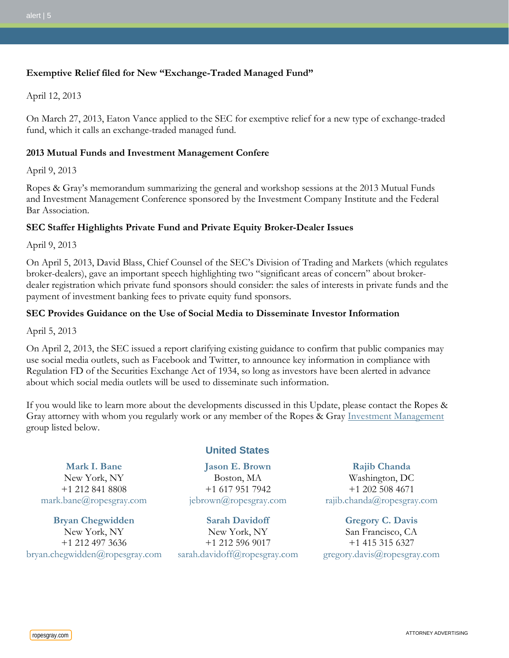## **Exemptive Relief filed for New "Exchange-Traded Managed Fund"**

April 12, 2013

On March 27, 2013, Eaton Vance applied to the SEC for exemptive relief for a new type of exchange-traded fund, which it calls an exchange-traded managed fund.

#### **2013 Mutual Funds and Investment Management Confere**

April 9, 2013

Ropes & Gray's memorandum summarizing the general and workshop sessions at the 2013 Mutual Funds and Investment Management Conference sponsored by the Investment Company Institute and the Federal Bar Association.

#### **SEC Staffer Highlights Private Fund and Private Equity Broker-Dealer Issues**

April 9, 2013

On April 5, 2013, David Blass, Chief Counsel of the SEC's Division of Trading and Markets (which regulates broker-dealers), gave an important speech highlighting two "significant areas of concern" about brokerdealer registration which private fund sponsors should consider: the sales of interests in private funds and the payment of investment banking fees to private equity fund sponsors.

#### **SEC Provides Guidance on the Use of Social Media to Disseminate Investor Information**

April 5, 2013

On April 2, 2013, the SEC issued a report clarifying existing guidance to confirm that public companies may use social media outlets, such as Facebook and Twitter, to announce key information in compliance with Regulation FD of the Securities Exchange Act of 1934, so long as investors have been alerted in advance about which social media outlets will be used to disseminate such information.

If you would like to learn more about the developments discussed in this Update, please contact the Ropes & Gray attorney with whom you regularly work or any member of the Ropes & Gray [Investment Management](http://108.166.51.82/sitecore/shell/Controls/Rich%20Text%20Editor/~/link.aspx?_id=F504C23E36DC43FA965647EE18F5AE8E&_z=z) group listed below.

**[Mark I. Bane](http://www.ropesgray.com/markbane/)** New York, NY +1 212 841 8808 [mark.bane@ropesgray.com](mailto:mark.bane@ropesgray.com)

**[Bryan Chegwidden](http://www.ropesgray.com/bryanchegwidden/)** New York, NY +1 212 497 3636 [bryan.chegwidden@ropesgray.com](mailto:bryan.chegwidden@ropesgray.com)

#### **United States**

**[Jason E. Brown](http://www.ropesgray.com/jebrown/)** Boston, MA +1 617 951 7942 [jebrown@ropesgray.com](mailto:jebrown@ropesgray.com)

**[Sarah Davidoff](http://www.ropesgray.com/sarahdavidoff/)** New York, NY +1 212 596 9017 [sarah.davidoff@ropesgray.com](mailto:sarah.davidoff@ropesgray.com) **[Rajib Chanda](http://www.ropesgray.com/rajibchanda/)**

Washington, DC +1 202 508 4671 [rajib.chanda@ropesgray.com](mailto:rajib.chanda@ropesgray.com)

**[Gregory C. Davis](http://www.ropesgray.com/gregorydavis/)** San Francisco, CA +1 415 315 6327 [gregory.davis@ropesgray.com](mailto:gregory.davis@ropesgray.com)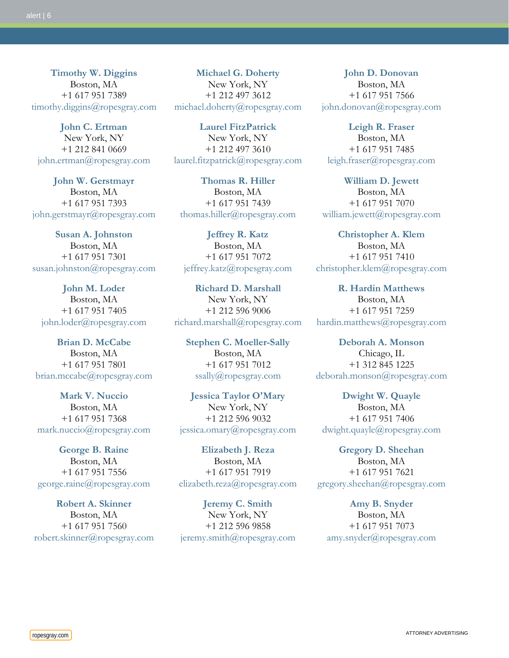**[Timothy W. Diggins](http://www.ropesgray.com/timothydiggins/)** Boston, MA +1 617 951 7389 [timothy.diggins@ropesgray.com](mailto:timothy.diggins@ropesgray.com)

**[John C. Ertman](http://www.ropesgray.com/johnertman/)** New York, NY +1 212 841 0669 [john.ertman@ropesgray.com](mailto:john.ertman@ropesgray.com)

**[John W. Gerstmayr](http://www.ropesgray.com/johngerstmayr/)** Boston, MA +1 617 951 7393 [john.gerstmayr@ropesgray.com](mailto:john.gerstmayr@ropesgray.com)

**[Susan A. Johnston](http://www.ropesgray.com/susanjohnston/)** Boston, MA +1 617 951 7301 [susan.johnston@ropesgray.com](mailto:susan.johnston@ropesgray.com)

**[John M. Loder](http://www.ropesgray.com/johnloder/)** Boston, MA +1 617 951 7405 [john.loder@ropesgray.com](mailto:john.loder@ropesgray.com)

**[Brian D. McCabe](http://www.ropesgray.com/brianmccabe/)** Boston, MA +1 617 951 7801 [brian.mccabe@ropesgray.com](mailto:brian.mccabe@ropesgray.com)

**[Mark V. Nuccio](http://www.ropesgray.com/marknuccio/)** Boston, MA +1 617 951 7368 [mark.nuccio@ropesgray.com](mailto:mark.nuccio@ropesgray.com)

**[George B. Raine](http://www.ropesgray.com/georgeraine/)** Boston, MA +1 617 951 7556 [george.raine@ropesgray.com](mailto:george.raine@ropesgray.com)

**[Robert A. Skinner](http://www.ropesgray.com/robertskinner/)** Boston, MA +1 617 951 7560 [robert.skinner@ropesgray.com](mailto:robert.skinner@ropesgray.com)

**[Michael G. Doherty](http://www.ropesgray.com/michaeldoherty/)** New York, NY +1 212 497 3612 [michael.doherty@ropesgray.com](mailto:michael.doherty@ropesgray.com)

**[Laurel FitzPatrick](http://www.ropesgray.com/laurelfitzpatrick/)** New York, NY +1 212 497 3610 [laurel.fitzpatrick@ropesgray.com](mailto:laurel.fitzpatrick@ropesgray.com)

**[Thomas R. Hiller](http://www.ropesgray.com/thomashiller/)** Boston, MA +1 617 951 7439 [thomas.hiller@ropesgray.com](mailto:thomas.hiller@ropesgray.com)

**[Jeffrey R. Katz](http://www.ropesgray.com/jeffreykatz/)** Boston, MA +1 617 951 7072 [jeffrey.katz@ropesgray.com](mailto:jeffrey.katz@ropesgray.com)

**[Richard D. Marshall](http://www.ropesgray.com/richardmarshall/)** New York, NY +1 212 596 9006 [richard.marshall@ropesgray.com](mailto:richard.marshall@ropesgray.com)

**[Stephen C. Moeller-Sally](http://www.ropesgray.com/stephenmoeller-sally/)** Boston, MA +1 617 951 7012 [ssally@ropesgray.com](mailto:ssally@ropesgray.com)

**[Jessica Taylor O'Mary](http://www.ropesgray.com/jessicaomary/)** New York, NY +1 212 596 9032 [jessica.omary@ropesgray.com](mailto:jessica.omary@ropesgray.com)

**[Elizabeth J. Reza](http://www.ropesgray.com/elizabethreza/)** Boston, MA +1 617 951 7919 [elizabeth.reza@ropesgray.com](mailto:elizabeth.reza@ropesgray.com)

**[Jeremy C. Smith](http://www.ropesgray.com/jeremysmith/)** New York, NY +1 212 596 9858 [jeremy.smith@ropesgray.com](mailto:jeremy.smith@ropesgray.com)

**[John D. Donovan](http://www.ropesgray.com/johndonovan/)** Boston, MA +1 617 951 7566 [john.donovan@ropesgray.com](mailto:john.donovan@ropesgray.com)

**[Leigh R. Fraser](http://www.ropesgray.com/leighfraser/)** Boston, MA +1 617 951 7485 [leigh.fraser@ropesgray.com](mailto:leigh.fraser@ropesgray.com)

**[William D. Jewett](http://www.ropesgray.com/williamjewett/)** Boston, MA +1 617 951 7070 [william.jewett@ropesgray.com](mailto:william.jewett@ropesgray.com)

**[Christopher A. Klem](http://www.ropesgray.com/christopherklem/)** Boston, MA +1 617 951 7410 [christopher.klem@ropesgray.com](mailto:christopher.klem@ropesgray.com)

**[R. Hardin Matthews](http://www.ropesgray.com/hardinmatthews/)** Boston, MA +1 617 951 7259 [hardin.matthews@ropesgray.com](mailto:hardin.matthews@ropesgray.com)

**[Deborah A. Monson](http://www.ropesgray.com/deborahmonson/)** Chicago, IL +1 312 845 1225 [deborah.monson@ropesgray.com](mailto:deborah.monson@ropesgray.com)

**[Dwight W. Quayle](http://www.ropesgray.com/dwightquayle/)** Boston, MA +1 617 951 7406 [dwight.quayle@ropesgray.com](mailto:dwight.quayle@ropesgray.com)

**[Gregory D. Sheehan](http://www.ropesgray.com/gregorysheehan/)** Boston, MA +1 617 951 7621 [gregory.sheehan@ropesgray.com](mailto:gregory.sheehan@ropesgray.com)

**[Amy B. Snyder](http://www.ropesgray.com/amysnyder/)** Boston, MA +1 617 951 7073 [amy.snyder@ropesgray.com](mailto:amy.snyder@ropesgray.com)